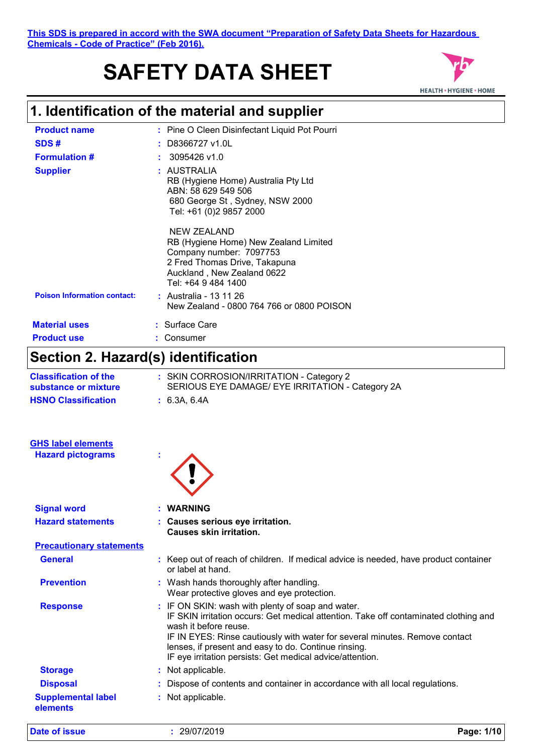### **This SDS is prepared in accord with the SWA document "Preparation of Safety Data Sheets for Hazardous Chemicals - Code of Practice" (Feb 2016).**

# **SAFETY DATA SHEET**



# **1. Identification of the material and supplier**

| <b>Product name</b>                | : Pine O Cleen Disinfectant Liquid Pot Pourri                                                                                                                         |
|------------------------------------|-----------------------------------------------------------------------------------------------------------------------------------------------------------------------|
| SDS#                               | D8366727 v1.0L                                                                                                                                                        |
| <b>Formulation #</b>               | 3095426 v1.0                                                                                                                                                          |
| <b>Supplier</b>                    | : AUSTRALIA<br>RB (Hygiene Home) Australia Pty Ltd<br>ABN: 58 629 549 506<br>680 George St, Sydney, NSW 2000<br>Tel: +61 (0)2 9857 2000                               |
|                                    | NEW ZEALAND<br>RB (Hygiene Home) New Zealand Limited<br>Company number: 7097753<br>2 Fred Thomas Drive, Takapuna<br>Auckland, New Zealand 0622<br>Tel: +64 9 484 1400 |
| <b>Poison Information contact:</b> | : Australia - 13 11 26<br>New Zealand - 0800 764 766 or 0800 POISON                                                                                                   |
| <b>Material uses</b>               | : Surface Care                                                                                                                                                        |
| <b>Product use</b>                 | : Consumer                                                                                                                                                            |

# **Section 2. Hazard(s) identification**

| <b>Classification of the</b><br>substance or mixture | : SKIN CORROSION/IRRITATION - Category 2<br>SERIOUS EYE DAMAGE/ EYE IRRITATION - Category 2A                                                                                                                                                                                                                                                                           |
|------------------------------------------------------|------------------------------------------------------------------------------------------------------------------------------------------------------------------------------------------------------------------------------------------------------------------------------------------------------------------------------------------------------------------------|
| <b>HSNO Classification</b>                           | : 6.3A, 6.4A                                                                                                                                                                                                                                                                                                                                                           |
| <b>GHS label elements</b>                            |                                                                                                                                                                                                                                                                                                                                                                        |
| <b>Hazard pictograms</b>                             |                                                                                                                                                                                                                                                                                                                                                                        |
| <b>Signal word</b>                                   | <b>WARNING</b>                                                                                                                                                                                                                                                                                                                                                         |
| <b>Hazard statements</b>                             | : Causes serious eye irritation.<br><b>Causes skin irritation.</b>                                                                                                                                                                                                                                                                                                     |
| <b>Precautionary statements</b>                      |                                                                                                                                                                                                                                                                                                                                                                        |
| <b>General</b>                                       | : Keep out of reach of children. If medical advice is needed, have product container<br>or label at hand.                                                                                                                                                                                                                                                              |
| <b>Prevention</b>                                    | : Wash hands thoroughly after handling.<br>Wear protective gloves and eye protection.                                                                                                                                                                                                                                                                                  |
| <b>Response</b>                                      | : IF ON SKIN: wash with plenty of soap and water.<br>IF SKIN irritation occurs: Get medical attention. Take off contaminated clothing and<br>wash it before reuse.<br>IF IN EYES: Rinse cautiously with water for several minutes. Remove contact<br>lenses, if present and easy to do. Continue rinsing.<br>IF eye irritation persists: Get medical advice/attention. |
| <b>Storage</b>                                       | : Not applicable.                                                                                                                                                                                                                                                                                                                                                      |
| <b>Disposal</b>                                      | Dispose of contents and container in accordance with all local regulations.                                                                                                                                                                                                                                                                                            |
| <b>Supplemental label</b><br>elements                | : Not applicable.                                                                                                                                                                                                                                                                                                                                                      |
|                                                      |                                                                                                                                                                                                                                                                                                                                                                        |

**Date of issue :** 29/07/2019 **Page: 1/10**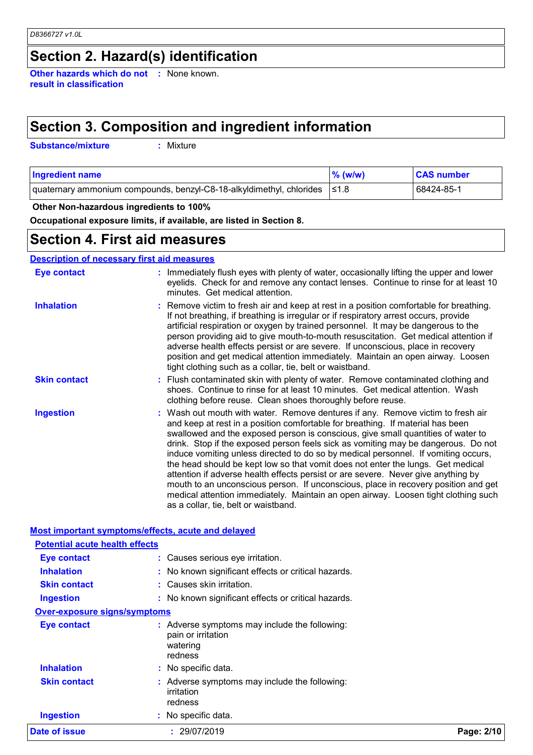# **Section 2. Hazard(s) identification**

**Other hazards which do not :** None known. **result in classification**

# **Section 3. Composition and ingredient information**

**Substance/mixture :**

: Mixture

| <b>Ingredient name</b>                                                     | $\%$ (w/w) | <b>CAS number</b> |
|----------------------------------------------------------------------------|------------|-------------------|
| quaternary ammonium compounds, benzyl-C8-18-alkyldimethyl, chlorides  ≤1.8 |            | 68424-85-1        |

### **Other Non-hazardous ingredients to 100%**

**Occupational exposure limits, if available, are listed in Section 8.**

### **Section 4. First aid measures**

### **Description of necessary first aid measures**

| <b>Eye contact</b>  | : Immediately flush eyes with plenty of water, occasionally lifting the upper and lower<br>eyelids. Check for and remove any contact lenses. Continue to rinse for at least 10<br>minutes. Get medical attention.                                                                                                                                                                                                                                                                                                                                                                                                                                                                                                                                                                                                            |
|---------------------|------------------------------------------------------------------------------------------------------------------------------------------------------------------------------------------------------------------------------------------------------------------------------------------------------------------------------------------------------------------------------------------------------------------------------------------------------------------------------------------------------------------------------------------------------------------------------------------------------------------------------------------------------------------------------------------------------------------------------------------------------------------------------------------------------------------------------|
| <b>Inhalation</b>   | : Remove victim to fresh air and keep at rest in a position comfortable for breathing.<br>If not breathing, if breathing is irregular or if respiratory arrest occurs, provide<br>artificial respiration or oxygen by trained personnel. It may be dangerous to the<br>person providing aid to give mouth-to-mouth resuscitation. Get medical attention if<br>adverse health effects persist or are severe. If unconscious, place in recovery<br>position and get medical attention immediately. Maintain an open airway. Loosen<br>tight clothing such as a collar, tie, belt or waistband.                                                                                                                                                                                                                                 |
| <b>Skin contact</b> | : Flush contaminated skin with plenty of water. Remove contaminated clothing and<br>shoes. Continue to rinse for at least 10 minutes. Get medical attention. Wash<br>clothing before reuse. Clean shoes thoroughly before reuse.                                                                                                                                                                                                                                                                                                                                                                                                                                                                                                                                                                                             |
| <b>Ingestion</b>    | : Wash out mouth with water. Remove dentures if any. Remove victim to fresh air<br>and keep at rest in a position comfortable for breathing. If material has been<br>swallowed and the exposed person is conscious, give small quantities of water to<br>drink. Stop if the exposed person feels sick as vomiting may be dangerous. Do not<br>induce vomiting unless directed to do so by medical personnel. If vomiting occurs,<br>the head should be kept low so that vomit does not enter the lungs. Get medical<br>attention if adverse health effects persist or are severe. Never give anything by<br>mouth to an unconscious person. If unconscious, place in recovery position and get<br>medical attention immediately. Maintain an open airway. Loosen tight clothing such<br>as a collar, tie, belt or waistband. |

### **Most important symptoms/effects, acute and delayed**

| Date of issue                         | : 29/07/2019                                                                               | Page: 2/10 |
|---------------------------------------|--------------------------------------------------------------------------------------------|------------|
| <b>Ingestion</b>                      | : No specific data.                                                                        |            |
| <b>Skin contact</b>                   | Adverse symptoms may include the following:<br>irritation<br>redness                       |            |
| <b>Inhalation</b>                     | : No specific data.                                                                        |            |
| <b>Eye contact</b>                    | : Adverse symptoms may include the following:<br>pain or irritation<br>watering<br>redness |            |
| <b>Over-exposure signs/symptoms</b>   |                                                                                            |            |
| <b>Ingestion</b>                      | : No known significant effects or critical hazards.                                        |            |
| <b>Skin contact</b>                   | : Causes skin irritation.                                                                  |            |
| <b>Inhalation</b>                     | : No known significant effects or critical hazards.                                        |            |
| Eye contact                           | : Causes serious eye irritation.                                                           |            |
| <b>Potential acute health effects</b> |                                                                                            |            |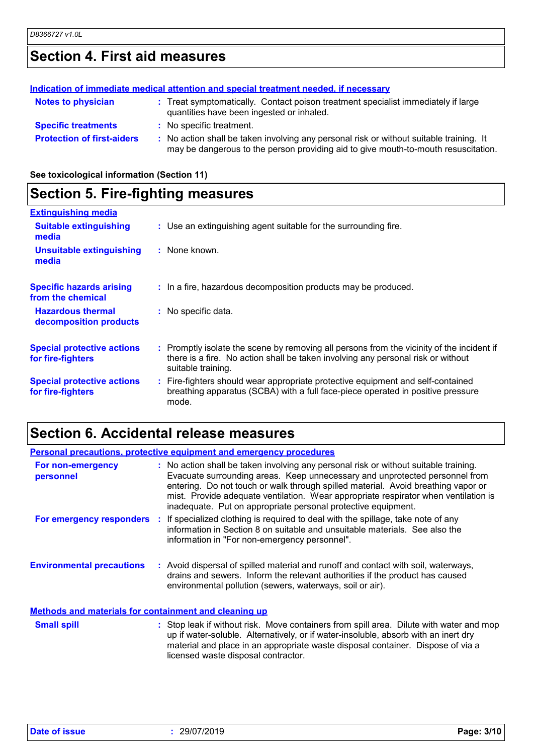# **Section 4. First aid measures**

|                                   | Indication of immediate medical attention and special treatment needed, if necessary                                                                                          |
|-----------------------------------|-------------------------------------------------------------------------------------------------------------------------------------------------------------------------------|
| <b>Notes to physician</b>         | : Treat symptomatically. Contact poison treatment specialist immediately if large<br>quantities have been ingested or inhaled.                                                |
| <b>Specific treatments</b>        | : No specific treatment.                                                                                                                                                      |
| <b>Protection of first-aiders</b> | : No action shall be taken involving any personal risk or without suitable training. It<br>may be dangerous to the person providing aid to give mouth-to-mouth resuscitation. |

**See toxicological information (Section 11)**

# **Section 5. Fire-fighting measures**

| <b>Extinguishing media</b>                             |                                                                                                                                                                                                     |
|--------------------------------------------------------|-----------------------------------------------------------------------------------------------------------------------------------------------------------------------------------------------------|
| <b>Suitable extinguishing</b><br>media                 | : Use an extinguishing agent suitable for the surrounding fire.                                                                                                                                     |
| <b>Unsuitable extinguishing</b><br>media               | : None known.                                                                                                                                                                                       |
| <b>Specific hazards arising</b><br>from the chemical   | : In a fire, hazardous decomposition products may be produced.                                                                                                                                      |
| <b>Hazardous thermal</b><br>decomposition products     | : No specific data.                                                                                                                                                                                 |
| <b>Special protective actions</b><br>for fire-fighters | : Promptly isolate the scene by removing all persons from the vicinity of the incident if<br>there is a fire. No action shall be taken involving any personal risk or without<br>suitable training. |
| <b>Special protective actions</b><br>for fire-fighters | : Fire-fighters should wear appropriate protective equipment and self-contained<br>breathing apparatus (SCBA) with a full face-piece operated in positive pressure<br>mode.                         |

# **Section 6. Accidental release measures**

| <b>Personal precautions, protective equipment and emergency procedures</b> |  |                                                                                                                                                                                                                                                                                                                                                                                                                  |
|----------------------------------------------------------------------------|--|------------------------------------------------------------------------------------------------------------------------------------------------------------------------------------------------------------------------------------------------------------------------------------------------------------------------------------------------------------------------------------------------------------------|
| For non-emergency<br>personnel                                             |  | : No action shall be taken involving any personal risk or without suitable training.<br>Evacuate surrounding areas. Keep unnecessary and unprotected personnel from<br>entering. Do not touch or walk through spilled material. Avoid breathing vapor or<br>mist. Provide adequate ventilation. Wear appropriate respirator when ventilation is<br>inadequate. Put on appropriate personal protective equipment. |
|                                                                            |  | <b>For emergency responders</b> : If specialized clothing is required to deal with the spillage, take note of any<br>information in Section 8 on suitable and unsuitable materials. See also the<br>information in "For non-emergency personnel".                                                                                                                                                                |
| <b>Environmental precautions</b>                                           |  | : Avoid dispersal of spilled material and runoff and contact with soil, waterways,<br>drains and sewers. Inform the relevant authorities if the product has caused<br>environmental pollution (sewers, waterways, soil or air).                                                                                                                                                                                  |
| <b>Methods and materials for containment and cleaning up</b>               |  |                                                                                                                                                                                                                                                                                                                                                                                                                  |
| <b>Small spill</b>                                                         |  | : Stop leak if without risk. Move containers from spill area. Dilute with water and mop<br>up if water-soluble. Alternatively, or if water-insoluble, absorb with an inert dry<br>material and place in an appropriate waste disposal container. Dispose of via a<br>licensed waste disposal contractor.                                                                                                         |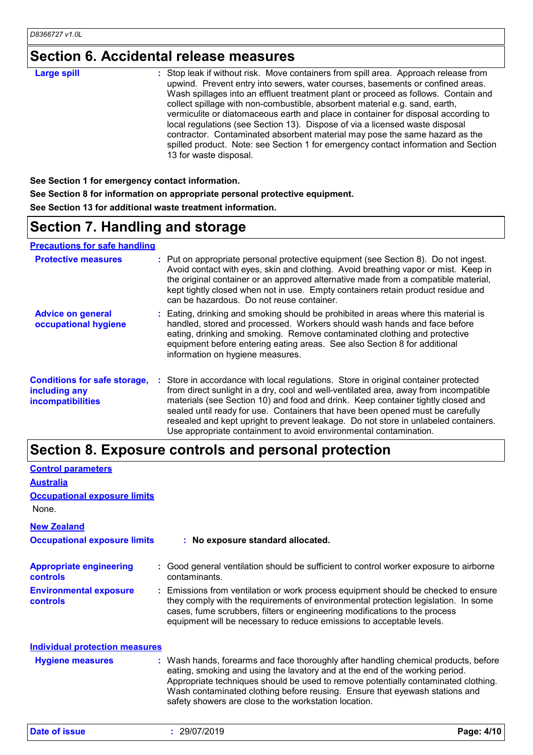# **Section 6. Accidental release measures**

| <b>Large spill</b> | : Stop leak if without risk. Move containers from spill area. Approach release from<br>upwind. Prevent entry into sewers, water courses, basements or confined areas.<br>Wash spillages into an effluent treatment plant or proceed as follows. Contain and<br>collect spillage with non-combustible, absorbent material e.g. sand, earth,<br>vermiculite or diatomaceous earth and place in container for disposal according to<br>local regulations (see Section 13). Dispose of via a licensed waste disposal<br>contractor. Contaminated absorbent material may pose the same hazard as the<br>spilled product. Note: see Section 1 for emergency contact information and Section<br>13 for waste disposal. |
|--------------------|-----------------------------------------------------------------------------------------------------------------------------------------------------------------------------------------------------------------------------------------------------------------------------------------------------------------------------------------------------------------------------------------------------------------------------------------------------------------------------------------------------------------------------------------------------------------------------------------------------------------------------------------------------------------------------------------------------------------|

**See Section 1 for emergency contact information. See Section 8 for information on appropriate personal protective equipment. See Section 13 for additional waste treatment information.**

# **Section 7. Handling and storage**

**Precautions for safe handling**

| <b>Protective measures</b>                                                       | : Put on appropriate personal protective equipment (see Section 8). Do not ingest.<br>Avoid contact with eyes, skin and clothing. Avoid breathing vapor or mist. Keep in<br>the original container or an approved alternative made from a compatible material,<br>kept tightly closed when not in use. Empty containers retain product residue and<br>can be hazardous. Do not reuse container.                                                                                                               |
|----------------------------------------------------------------------------------|---------------------------------------------------------------------------------------------------------------------------------------------------------------------------------------------------------------------------------------------------------------------------------------------------------------------------------------------------------------------------------------------------------------------------------------------------------------------------------------------------------------|
| <b>Advice on general</b><br>occupational hygiene                                 | : Eating, drinking and smoking should be prohibited in areas where this material is<br>handled, stored and processed. Workers should wash hands and face before<br>eating, drinking and smoking. Remove contaminated clothing and protective<br>equipment before entering eating areas. See also Section 8 for additional<br>information on hygiene measures.                                                                                                                                                 |
| <b>Conditions for safe storage,</b><br>including any<br><b>incompatibilities</b> | : Store in accordance with local regulations. Store in original container protected<br>from direct sunlight in a dry, cool and well-ventilated area, away from incompatible<br>materials (see Section 10) and food and drink. Keep container tightly closed and<br>sealed until ready for use. Containers that have been opened must be carefully<br>resealed and kept upright to prevent leakage. Do not store in unlabeled containers.<br>Use appropriate containment to avoid environmental contamination. |

### **Section 8. Exposure controls and personal protection**

| <b>Control parameters</b>                         |                                                                                                                                                                                                                                                                                                                                                                                                   |
|---------------------------------------------------|---------------------------------------------------------------------------------------------------------------------------------------------------------------------------------------------------------------------------------------------------------------------------------------------------------------------------------------------------------------------------------------------------|
| <b>Australia</b>                                  |                                                                                                                                                                                                                                                                                                                                                                                                   |
| <b>Occupational exposure limits</b>               |                                                                                                                                                                                                                                                                                                                                                                                                   |
| None.                                             |                                                                                                                                                                                                                                                                                                                                                                                                   |
| <b>New Zealand</b>                                |                                                                                                                                                                                                                                                                                                                                                                                                   |
| <b>Occupational exposure limits</b>               | : No exposure standard allocated.                                                                                                                                                                                                                                                                                                                                                                 |
| <b>Appropriate engineering</b><br><b>controls</b> | : Good general ventilation should be sufficient to control worker exposure to airborne<br>contaminants.                                                                                                                                                                                                                                                                                           |
| <b>Environmental exposure</b><br><b>controls</b>  | : Emissions from ventilation or work process equipment should be checked to ensure<br>they comply with the requirements of environmental protection legislation. In some<br>cases, fume scrubbers, filters or engineering modifications to the process<br>equipment will be necessary to reduce emissions to acceptable levels.                                                                   |
| <b>Individual protection measures</b>             |                                                                                                                                                                                                                                                                                                                                                                                                   |
| <b>Hygiene measures</b>                           | : Wash hands, forearms and face thoroughly after handling chemical products, before<br>eating, smoking and using the lavatory and at the end of the working period.<br>Appropriate techniques should be used to remove potentially contaminated clothing.<br>Wash contaminated clothing before reusing. Ensure that eyewash stations and<br>safety showers are close to the workstation location. |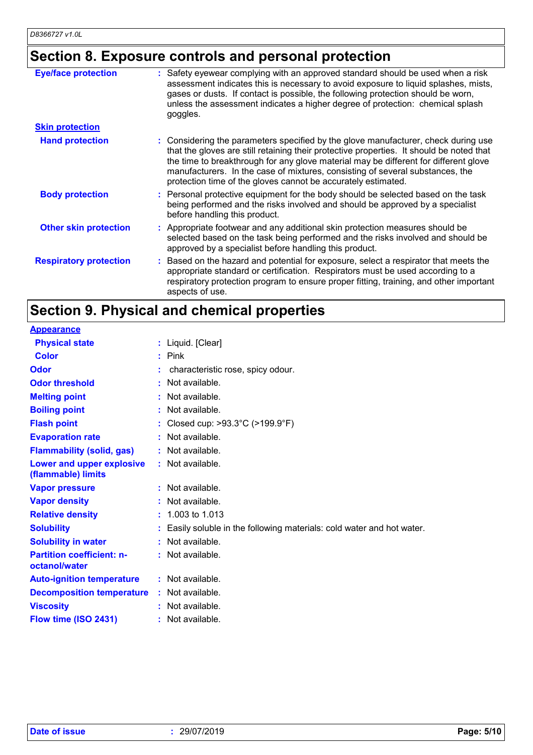# **Section 8. Exposure controls and personal protection**

| <b>Eye/face protection</b><br><b>Skin protection</b> | Safety eyewear complying with an approved standard should be used when a risk<br>assessment indicates this is necessary to avoid exposure to liquid splashes, mists,<br>gases or dusts. If contact is possible, the following protection should be worn,<br>unless the assessment indicates a higher degree of protection: chemical splash<br>goggles.                                                                   |
|------------------------------------------------------|--------------------------------------------------------------------------------------------------------------------------------------------------------------------------------------------------------------------------------------------------------------------------------------------------------------------------------------------------------------------------------------------------------------------------|
|                                                      |                                                                                                                                                                                                                                                                                                                                                                                                                          |
| <b>Hand protection</b>                               | : Considering the parameters specified by the glove manufacturer, check during use<br>that the gloves are still retaining their protective properties. It should be noted that<br>the time to breakthrough for any glove material may be different for different glove<br>manufacturers. In the case of mixtures, consisting of several substances, the<br>protection time of the gloves cannot be accurately estimated. |
| <b>Body protection</b>                               | : Personal protective equipment for the body should be selected based on the task<br>being performed and the risks involved and should be approved by a specialist<br>before handling this product.                                                                                                                                                                                                                      |
| <b>Other skin protection</b>                         | : Appropriate footwear and any additional skin protection measures should be<br>selected based on the task being performed and the risks involved and should be<br>approved by a specialist before handling this product.                                                                                                                                                                                                |
| <b>Respiratory protection</b>                        | : Based on the hazard and potential for exposure, select a respirator that meets the<br>appropriate standard or certification. Respirators must be used according to a<br>respiratory protection program to ensure proper fitting, training, and other important<br>aspects of use.                                                                                                                                      |

# **Section 9. Physical and chemical properties**

| <b>Appearance</b>                                 |    |                                                                      |
|---------------------------------------------------|----|----------------------------------------------------------------------|
| <b>Physical state</b>                             |    | : Liquid. [Clear]                                                    |
| <b>Color</b>                                      |    | $:$ Pink                                                             |
| Odor                                              |    | characteristic rose, spicy odour.                                    |
| <b>Odor threshold</b>                             | ٠  | Not available.                                                       |
| <b>Melting point</b>                              | ÷. | Not available.                                                       |
| <b>Boiling point</b>                              |    | Not available.                                                       |
| <b>Flash point</b>                                |    | Closed cup: >93.3°C (>199.9°F)                                       |
| <b>Evaporation rate</b>                           | ÷  | Not available.                                                       |
| <b>Flammability (solid, gas)</b>                  |    | Not available.                                                       |
| Lower and upper explosive<br>(flammable) limits   |    | $:$ Not available.                                                   |
| <b>Vapor pressure</b>                             |    | $:$ Not available.                                                   |
| <b>Vapor density</b>                              |    | Not available.                                                       |
| <b>Relative density</b>                           |    | 1.003 to 1.013                                                       |
| <b>Solubility</b>                                 |    | Easily soluble in the following materials: cold water and hot water. |
| <b>Solubility in water</b>                        |    | $:$ Not available.                                                   |
| <b>Partition coefficient: n-</b><br>octanol/water |    | : Not available.                                                     |
| <b>Auto-ignition temperature</b>                  |    | $:$ Not available.                                                   |
| <b>Decomposition temperature</b>                  |    | $:$ Not available.                                                   |
| <b>Viscosity</b>                                  |    | Not available.                                                       |
| Flow time (ISO 2431)                              |    | Not available.                                                       |
|                                                   |    |                                                                      |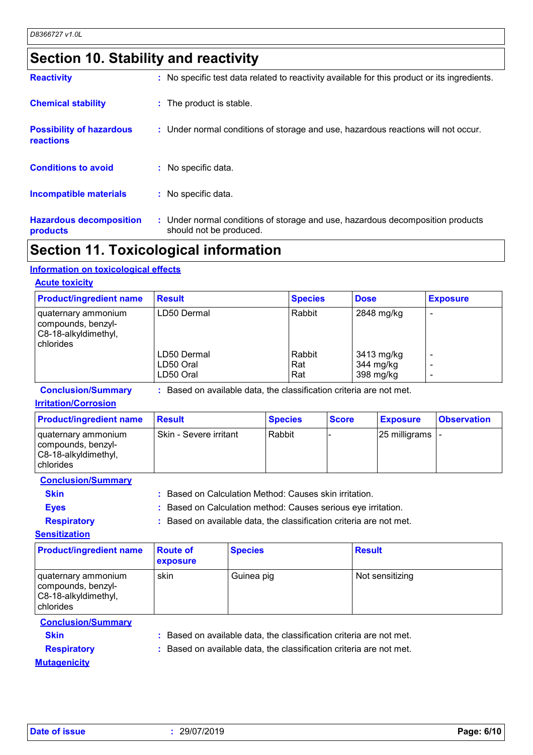# **Section 10. Stability and reactivity**

| <b>Hazardous decomposition</b><br>products   | : Under normal conditions of storage and use, hazardous decomposition products<br>should not be produced. |
|----------------------------------------------|-----------------------------------------------------------------------------------------------------------|
| <b>Incompatible materials</b>                | : No specific data.                                                                                       |
| <b>Conditions to avoid</b>                   | $:$ No specific data.                                                                                     |
| <b>Possibility of hazardous</b><br>reactions | : Under normal conditions of storage and use, hazardous reactions will not occur.                         |
| <b>Chemical stability</b>                    | : The product is stable.                                                                                  |
| <b>Reactivity</b>                            | : No specific test data related to reactivity available for this product or its ingredients.              |

### **Section 11. Toxicological information**

### **Information on toxicological effects**

### **Acute toxicity**

| <b>Product/ingredient name</b>                                                   | <b>Result</b> | <b>Species</b> | <b>Dose</b> | <b>Exposure</b> |
|----------------------------------------------------------------------------------|---------------|----------------|-------------|-----------------|
| I quaternary ammonium<br>compounds, benzyl-<br>C8-18-alkyldimethyl,<br>chlorides | LD50 Dermal   | Rabbit         | 2848 mg/kg  |                 |
|                                                                                  | LD50 Dermal   | Rabbit         | 3413 mg/kg  |                 |
|                                                                                  | LD50 Oral     | Rat            | 344 mg/kg   |                 |
|                                                                                  | LD50 Oral     | Rat            | 398 mg/kg   |                 |

**Conclusion/Summary :** Based on available data, the classification criteria are not met.

### **Irritation/Corrosion**

| <b>Product/ingredient name</b>                                                            | <b>Result</b>          | <b>Species</b> | <b>Score</b> | <b>Exposure</b>           | <b>Observation</b> |
|-------------------------------------------------------------------------------------------|------------------------|----------------|--------------|---------------------------|--------------------|
| I quaternary ammonium<br>  compounds, benzyl-<br>C8-18-alkyldimethyl,<br><b>chlorides</b> | Skin - Severe irritant | Rabbit         |              | $ 25 \text{ milligrams} $ |                    |

**Conclusion/Summary**

**Skin :** Based on Calculation Method: Causes skin irritation.

**Eyes :** Based on Calculation method: Causes serious eye irritation.

**Respiratory :** Based on available data, the classification criteria are not met.

**Sensitization**

| <b>Product/ingredient name</b>                                                 | <b>Route of</b><br><b>exposure</b> | <b>Species</b> | <b>Result</b>   |
|--------------------------------------------------------------------------------|------------------------------------|----------------|-----------------|
| quaternary ammonium<br>compounds, benzyl-<br>C8-18-alkyldimethyl,<br>chlorides | skin                               | Guinea pig     | Not sensitizing |

### **Conclusion/Summary**

**Skin :** Based on available data, the classification criteria are not met.

**Respiratory :** Based on available data, the classification criteria are not met.

**Mutagenicity**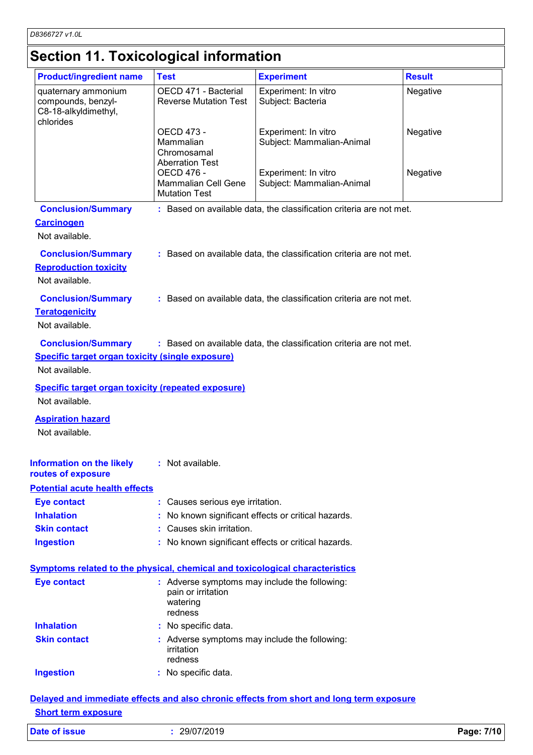# **Section 11. Toxicological information**

| <b>Product/ingredient name</b>                                                                  | <b>Test</b>                                                                                | <b>Experiment</b>                                                   | <b>Result</b> |
|-------------------------------------------------------------------------------------------------|--------------------------------------------------------------------------------------------|---------------------------------------------------------------------|---------------|
| quaternary ammonium<br>compounds, benzyl-<br>C8-18-alkyldimethyl,<br>chlorides                  | OECD 471 - Bacterial<br><b>Reverse Mutation Test</b>                                       | Experiment: In vitro<br>Subject: Bacteria                           | Negative      |
|                                                                                                 | OECD 473 -<br>Mammalian<br>Chromosamal<br><b>Aberration Test</b>                           | Experiment: In vitro<br>Subject: Mammalian-Animal                   | Negative      |
|                                                                                                 | <b>OECD 476 -</b><br>Mammalian Cell Gene<br><b>Mutation Test</b>                           | Experiment: In vitro<br>Subject: Mammalian-Animal                   | Negative      |
| <b>Conclusion/Summary</b><br><b>Carcinogen</b><br>Not available.                                |                                                                                            | : Based on available data, the classification criteria are not met. |               |
| <b>Conclusion/Summary</b><br><b>Reproduction toxicity</b><br>Not available.                     |                                                                                            | : Based on available data, the classification criteria are not met. |               |
| <b>Conclusion/Summary</b><br><b>Teratogenicity</b><br>Not available.                            |                                                                                            | : Based on available data, the classification criteria are not met. |               |
| <b>Conclusion/Summary</b><br>Specific target organ toxicity (single exposure)<br>Not available. |                                                                                            | : Based on available data, the classification criteria are not met. |               |
| <b>Specific target organ toxicity (repeated exposure)</b><br>Not available.                     |                                                                                            |                                                                     |               |
| <b>Aspiration hazard</b><br>Not available.                                                      |                                                                                            |                                                                     |               |
| <b>Information on the likely : Not available.</b><br>routes of exposure                         |                                                                                            |                                                                     |               |
| <b>Potential acute health effects</b>                                                           |                                                                                            |                                                                     |               |
| <b>Eye contact</b>                                                                              | : Causes serious eye irritation.                                                           |                                                                     |               |
| <b>Inhalation</b>                                                                               |                                                                                            | No known significant effects or critical hazards.                   |               |
| <b>Skin contact</b>                                                                             | : Causes skin irritation.                                                                  |                                                                     |               |
| <b>Ingestion</b>                                                                                |                                                                                            | : No known significant effects or critical hazards.                 |               |
| <b>Symptoms related to the physical, chemical and toxicological characteristics</b>             |                                                                                            |                                                                     |               |
| <b>Eye contact</b>                                                                              | : Adverse symptoms may include the following:<br>pain or irritation<br>watering<br>redness |                                                                     |               |
| <b>Inhalation</b>                                                                               | : No specific data.                                                                        |                                                                     |               |
| <b>Skin contact</b>                                                                             | : Adverse symptoms may include the following:<br>irritation<br>redness                     |                                                                     |               |
| <b>Ingestion</b>                                                                                | : No specific data.                                                                        |                                                                     |               |
|                                                                                                 |                                                                                            |                                                                     |               |

### **Delayed and immediate effects and also chronic effects from short and long term exposure Short term exposure**

| Date of issue | 29/07/2019 | Page: 7/10 |
|---------------|------------|------------|
|---------------|------------|------------|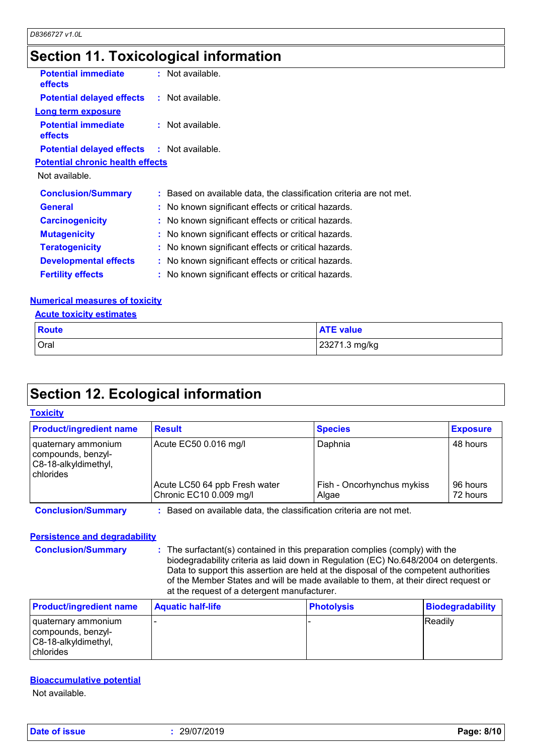# **Section 11. Toxicological information**

| <b>Potential immediate</b><br><b>effects</b>      | $:$ Not available.                                                  |
|---------------------------------------------------|---------------------------------------------------------------------|
| <b>Potential delayed effects : Not available.</b> |                                                                     |
| <b>Long term exposure</b>                         |                                                                     |
| <b>Potential immediate</b><br><b>effects</b>      | : Not available.                                                    |
| <b>Potential delayed effects : Not available.</b> |                                                                     |
| <b>Potential chronic health effects</b>           |                                                                     |
| Not available.                                    |                                                                     |
| <b>Conclusion/Summary</b>                         | : Based on available data, the classification criteria are not met. |
| <b>General</b>                                    | : No known significant effects or critical hazards.                 |
| <b>Carcinogenicity</b>                            | : No known significant effects or critical hazards.                 |
| <b>Mutagenicity</b>                               | : No known significant effects or critical hazards.                 |
| <b>Teratogenicity</b>                             | : No known significant effects or critical hazards.                 |
| <b>Developmental effects</b>                      | : No known significant effects or critical hazards.                 |
| <b>Fertility effects</b>                          | : No known significant effects or critical hazards.                 |

### **Numerical measures of toxicity**

|--|

| Route | <b>ATE value</b> |
|-------|------------------|
| Oral  | 23271.3 mg/kg    |

# **Section 12. Ecological information**

### **Toxicity**

| <b>Product/ingredient name</b>                                                 | <b>Result</b>                                                     | <b>Species</b>                      | <b>Exposure</b>      |
|--------------------------------------------------------------------------------|-------------------------------------------------------------------|-------------------------------------|----------------------|
| quaternary ammonium<br>compounds, benzyl-<br>C8-18-alkyldimethyl,<br>chlorides | Acute EC50 0.016 mg/l                                             | Daphnia                             | 48 hours             |
|                                                                                | Acute LC50 64 ppb Fresh water<br>Chronic EC10 0.009 mg/l          | Fish - Oncorhynchus mykiss<br>Algae | 96 hours<br>72 hours |
| <b>Conclusion/Summary</b>                                                      | Based on available data, the classification criteria are not met. |                                     |                      |

### **Persistence and degradability**

**Conclusion/Summary :** The surfactant(s) contained in this preparation complies (comply) with the biodegradability criteria as laid down in Regulation (EC) No.648/2004 on detergents. Data to support this assertion are held at the disposal of the competent authorities of the Member States and will be made available to them, at their direct request or at the request of a detergent manufacturer.

| <b>Product/ingredient name</b>                                                          | <b>Aquatic half-life</b> | <b>Photolysis</b> | <b>Biodegradability</b> |
|-----------------------------------------------------------------------------------------|--------------------------|-------------------|-------------------------|
| I quaternary ammonium<br>compounds, benzyl-<br>C8-18-alkyldimethyl,<br><b>chlorides</b> |                          |                   | <b>Readily</b>          |

### **Bioaccumulative potential**

Not available.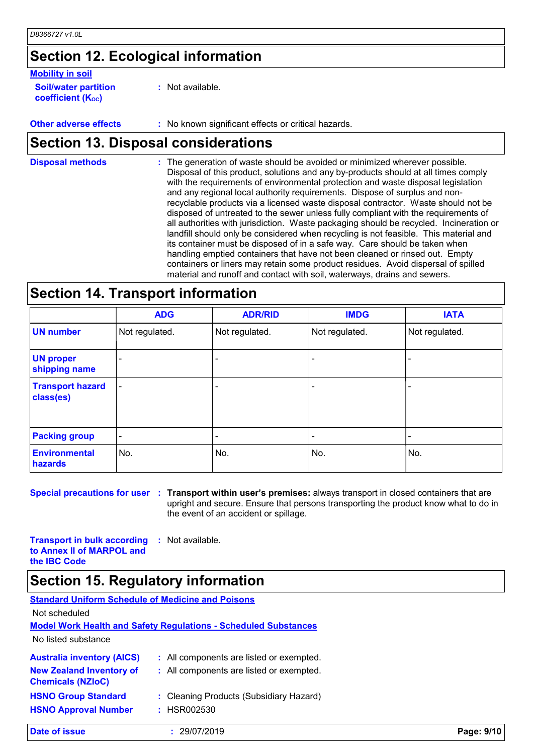# **Section 12. Ecological information**

### **Mobility in soil**

**Soil/water partition coefficient (K**<sub>oc</sub>)

**:** Not available.

**Other adverse effects :** No known significant effects or critical hazards.

### **Section 13. Disposal considerations**

The generation of waste should be avoided or minimized wherever possible. Disposal of this product, solutions and any by-products should at all times comply with the requirements of environmental protection and waste disposal legislation and any regional local authority requirements. Dispose of surplus and nonrecyclable products via a licensed waste disposal contractor. Waste should not be disposed of untreated to the sewer unless fully compliant with the requirements of all authorities with jurisdiction. Waste packaging should be recycled. Incineration or landfill should only be considered when recycling is not feasible. This material and its container must be disposed of in a safe way. Care should be taken when handling emptied containers that have not been cleaned or rinsed out. Empty containers or liners may retain some product residues. Avoid dispersal of spilled material and runoff and contact with soil, waterways, drains and sewers. **Disposal methods :**

### **Section 14. Transport information**

|                                      | <b>ADG</b>               | <b>ADR/RID</b> | <b>IMDG</b>    | <b>IATA</b>    |
|--------------------------------------|--------------------------|----------------|----------------|----------------|
| <b>UN number</b>                     | Not regulated.           | Not regulated. | Not regulated. | Not regulated. |
| <b>UN proper</b><br>shipping name    | $\overline{\phantom{0}}$ |                |                |                |
| <b>Transport hazard</b><br>class(es) | $\overline{\phantom{a}}$ | ٠              |                |                |
| <b>Packing group</b>                 | $\overline{\phantom{a}}$ | ٠              |                |                |
| <b>Environmental</b><br>hazards      | No.                      | No.            | No.            | No.            |

**Special precautions for user Transport within user's premises:** always transport in closed containers that are **:** upright and secure. Ensure that persons transporting the product know what to do in the event of an accident or spillage.

**Transport in bulk according to Annex II of MARPOL and the IBC Code :** Not available.

### **Section 15. Regulatory information**

| <b>Standard Uniform Schedule of Medicine and Poisons</b>    |                                                                        |            |
|-------------------------------------------------------------|------------------------------------------------------------------------|------------|
| Not scheduled                                               |                                                                        |            |
|                                                             | <b>Model Work Health and Safety Requiations - Scheduled Substances</b> |            |
| No listed substance                                         |                                                                        |            |
| <b>Australia inventory (AICS)</b>                           | : All components are listed or exempted.                               |            |
| <b>New Zealand Inventory of</b><br><b>Chemicals (NZIoC)</b> | : All components are listed or exempted.                               |            |
| <b>HSNO Group Standard</b>                                  | : Cleaning Products (Subsidiary Hazard)                                |            |
| <b>HSNO Approval Number</b>                                 | : HSR002530                                                            |            |
| Date of issue                                               | 29/07/2019                                                             | Page: 9/10 |